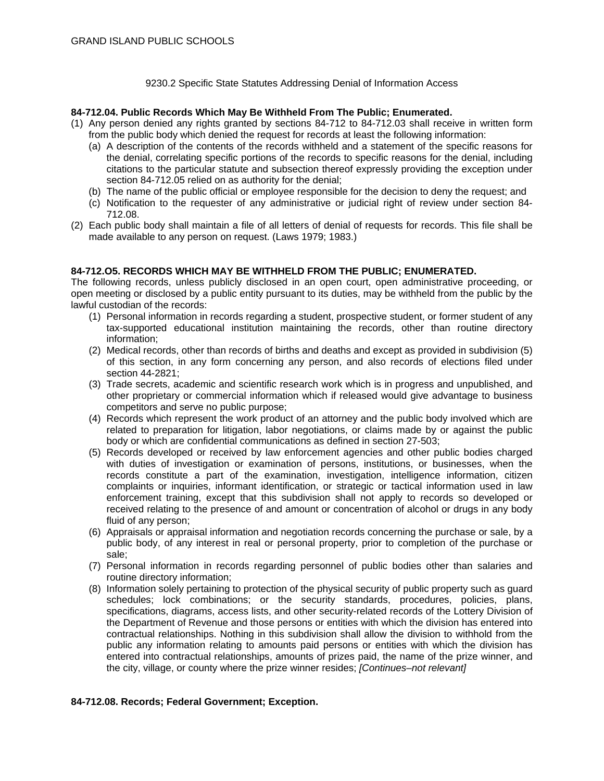### 9230.2 Specific State Statutes Addressing Denial of Information Access

## **84-712.04. Public Records Which May Be Withheld From The Public; Enumerated.**

- (1) Any person denied any rights granted by sections 84-712 to 84-712.03 shall receive in written form from the public body which denied the request for records at least the following information:
	- (a) A description of the contents of the records withheld and a statement of the specific reasons for the denial, correlating specific portions of the records to specific reasons for the denial, including citations to the particular statute and subsection thereof expressly providing the exception under section 84-712.05 relied on as authority for the denial;
	- (b) The name of the public official or employee responsible for the decision to deny the request; and
	- (c) Notification to the requester of any administrative or judicial right of review under section 84- 712.08.
- (2) Each public body shall maintain a file of all letters of denial of requests for records. This file shall be made available to any person on request. (Laws 1979; 1983.)

## **84-712.O5. RECORDS WHICH MAY BE WITHHELD FROM THE PUBLIC; ENUMERATED.**

The following records, unless publicly disclosed in an open court, open administrative proceeding, or open meeting or disclosed by a public entity pursuant to its duties, may be withheld from the public by the lawful custodian of the records:

- (1) Personal information in records regarding a student, prospective student, or former student of any tax-supported educational institution maintaining the records, other than routine directory information;
- (2) Medical records, other than records of births and deaths and except as provided in subdivision (5) of this section, in any form concerning any person, and also records of elections filed under section 44-2821;
- (3) Trade secrets, academic and scientific research work which is in progress and unpublished, and other proprietary or commercial information which if released would give advantage to business competitors and serve no public purpose;
- (4) Records which represent the work product of an attorney and the public body involved which are related to preparation for litigation, labor negotiations, or claims made by or against the public body or which are confidential communications as defined in section 27-503;
- (5) Records developed or received by law enforcement agencies and other public bodies charged with duties of investigation or examination of persons, institutions, or businesses, when the records constitute a part of the examination, investigation, intelligence information, citizen complaints or inquiries, informant identification, or strategic or tactical information used in law enforcement training, except that this subdivision shall not apply to records so developed or received relating to the presence of and amount or concentration of alcohol or drugs in any body fluid of any person;
- (6) Appraisals or appraisal information and negotiation records concerning the purchase or sale, by a public body, of any interest in real or personal property, prior to completion of the purchase or sale;
- (7) Personal information in records regarding personnel of public bodies other than salaries and routine directory information;
- (8) Information solely pertaining to protection of the physical security of public property such as guard schedules; lock combinations; or the security standards, procedures, policies, plans, specifications, diagrams, access lists, and other security-related records of the Lottery Division of the Department of Revenue and those persons or entities with which the division has entered into contractual relationships. Nothing in this subdivision shall allow the division to withhold from the public any information relating to amounts paid persons or entities with which the division has entered into contractual relationships, amounts of prizes paid, the name of the prize winner, and the city, village, or county where the prize winner resides; *[Continues–not relevant]*

# **84-712.08. Records; Federal Government; Exception.**